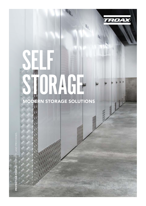

# SELF DRAGE **ODERN STORAGE SOLUTIONS**

**ORA-062** 

PROTECTING PEOPLE, PROPERTY, AND PROCESSES. **PROT**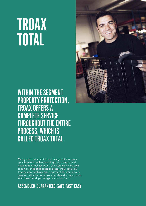## TROAX TOTAL

WITHIN THE SEGMENT PROPERTY PROTECTION, TROAX OFFERS A COMPLETE SERVICE THROUGHOUT THE ENTIRE PROCESS, WHICH IS CALLED TROAX TOTAL.

Our systems are adapted and designed to suit your specific needs, with everything intricately planned down to the smallest detail. Our systems can be built to suit all kinds of application areas. Troax Total is a total solution within property protection, where every solution is flexible to suit your needs and requirements. With Troax Total, you will get a solution that is:

### ASSEMBLED•GUARANTEED•SAFE•FAST•EASY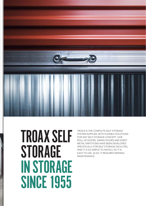

## TROAX SELF **STORAGE** IN STORAGE SINCE 1955

TROAX IS THE COMPLETE SELF STORAGE SYSTEM SUPPLIER, WITH FLEXIBLE SOLUTIONS FOR ANY SELF STORAGE CONCEPT. OUR ROLL-UP DOORS, SWING DOORS AND SHEET SPECIFICALLY FOR SELF STORAGE FACILITIES, AND IT IS AS SIMPLE TO INSTALL AS IT IS EASY TO USE. ALSO, IT REQUIRES MINIMAL MAINTENANCE. METAL PARTITIONS HAVE BEEN DEVELOPED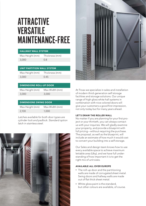## ATTRACTIVE **VERSATILE** MAINTENANCE-FREE

| <b>HALLWAY WALL SYSTEM</b> |
|----------------------------|
|----------------------------|

3,000 0.8

Max Height (mm) Thickness (mm)

### UNIT PARTITION WALL SYSTEM

3,000 0.45

Max Height (mm) Thickness (mm)

### DIMENSIONS ROLL-UP DOOR

Max Height (mm) Max Width (mm) 3,000 3,000

### DIMENSIONS SWING DOOR

| Max Height (mm) | Max Width (mm) |
|-----------------|----------------|
| 2.100           | 1.000          |

*Latches available for both door types are cylinder lock and padlock. Standard option latch in stainless steel.*





At Troax we specialize in sales and installation of modern third-generation self storage facilities and storage solutions. Our unique range of high gloss white hall systems in combination with nice colored doors will give your customers a good first impression, not only today but for many years ahead.

#### LET'S DRAW THE ROLLER WALL

No matter if you are planning for your first project or your thirtieth, you can always contact us with your inquiries. We will gladly examine your property, and provide a blueprint with full pricing – without requiring the purchase. The proposal, as well as the blueprint, will include an estimate of how much it would cost to convert your building into a self storage.

Our Sales and design team knows how to use every available space to achieve maximum lettable area (Uby), and we have full understanding of how important it is to get the right mix of unit sizes.

#### AVAILABLE ALL OVER EUROPE

- **»** The roll-up door and the partitioning walls are made of corrugated sheet metal. Swing doors and hallway walls are made out of flat thick sheet metal.
- **»** White gloss paint is the standard, but other colours are available, of course.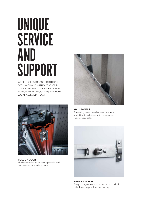## UNIQUE **SERVICE** AND SUPPORT

WE SELL SELF STORAGE SOLUTIONS BOTH WITH AND WITHOUT ASSEMBLY. AT SELF-ASSEMBLY, WE PROVIDE EASY FOLLOW ME INSTRUCTIONS FOR YOUR LOCAL ASSEMBLY TEAM.



ROLL-UP DOOR The best choice for an easy operable and low maintenance roll-up door.



### WALL PANELS

The wall system provides an economical and attractive divider, which also makes the storages safe.



KEEPING IT SAFE Every storage room has its own lock, to which only the storage holder has the key.